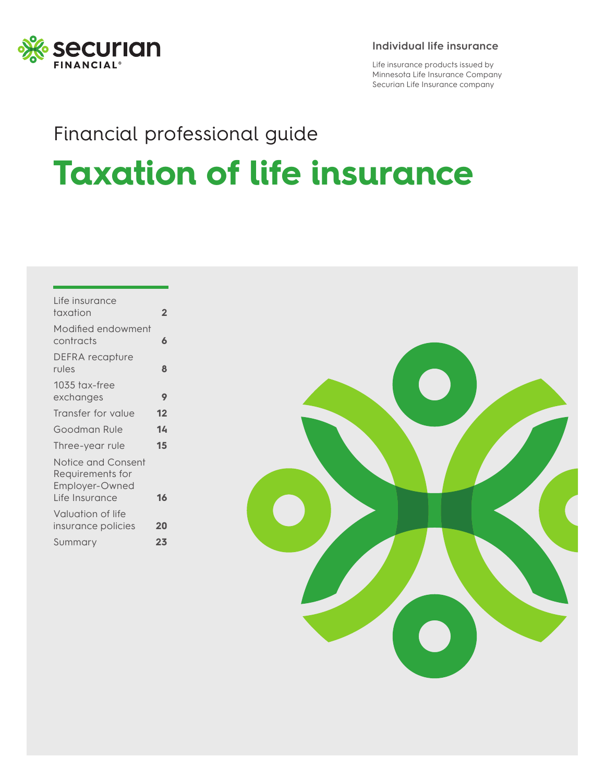

#### **Individual life insurance**

Life insurance products issued by Minnesota Life Insurance Company Securian Life Insurance company

# Financial professional guide **Taxation of life insurance**

| Life insurance<br>taxation                               | $\overline{2}$ |
|----------------------------------------------------------|----------------|
| Modified endowment<br>contracts                          | 6              |
| DEFRA recapture<br>rules                                 | 8              |
| 1035 tax-free<br>exchanges                               | 9              |
| Transfer for value                                       | 12             |
| Goodman Rule                                             | 14             |
| Three-year rule                                          | 15             |
| Notice and Consent<br>Requirements for<br>Employer-Owned |                |
| Life Insurance                                           | 16             |
| Valuation of life<br>insurance policies                  | 20             |
| Summary                                                  | 23             |

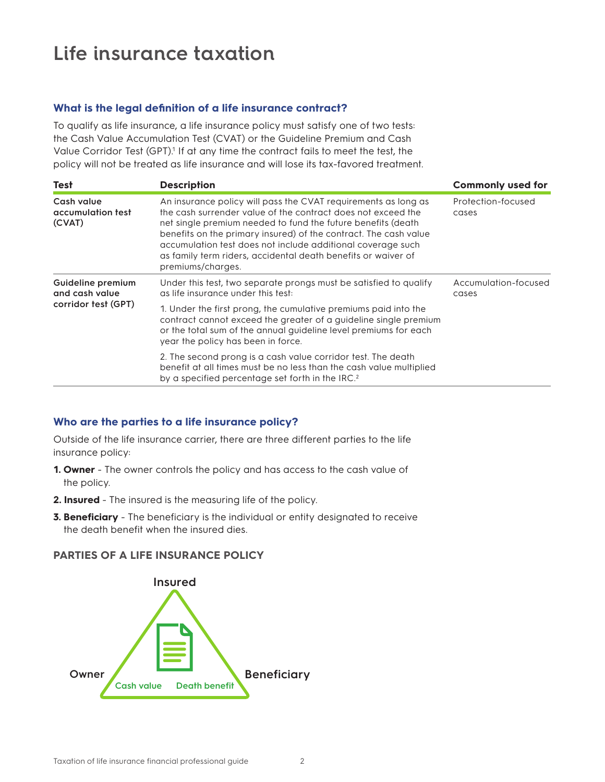## **Life insurance taxation**

#### **What is the legal definition of a life insurance contract?**

To qualify as life insurance, a life insurance policy must satisfy one of two tests: the Cash Value Accumulation Test (CVAT) or the Guideline Premium and Cash Value Corridor Test (GPT).<sup>1</sup> If at any time the contract fails to meet the test, the policy will not be treated as life insurance and will lose its tax-favored treatment.

| Test                                                       | <b>Description</b>                                                                                                                                                                                                                                                                                                                                                                                                      | <b>Commonly used for</b>      |
|------------------------------------------------------------|-------------------------------------------------------------------------------------------------------------------------------------------------------------------------------------------------------------------------------------------------------------------------------------------------------------------------------------------------------------------------------------------------------------------------|-------------------------------|
| Cash value<br>accumulation test<br>(CVAT)                  | An insurance policy will pass the CVAT requirements as long as<br>the cash surrender value of the contract does not exceed the<br>net single premium needed to fund the future benefits (death<br>benefits on the primary insured) of the contract. The cash value<br>accumulation test does not include additional coverage such<br>as family term riders, accidental death benefits or waiver of<br>premiums/charges. | Profection-focused<br>cases   |
| Guideline premium<br>and cash value<br>corridor test (GPT) | Under this test, two separate prongs must be satisfied to qualify<br>as life insurance under this test:                                                                                                                                                                                                                                                                                                                 | Accumulation-focused<br>cases |
|                                                            | 1. Under the first prong, the cumulative premiums paid into the<br>contract cannot exceed the greater of a guideline single premium<br>or the total sum of the annual guideline level premiums for each<br>year the policy has been in force.                                                                                                                                                                           |                               |
|                                                            | 2. The second prong is a cash value corridor test. The death<br>benefit at all times must be no less than the cash value multiplied<br>by a specified percentage set forth in the IRC. <sup>2</sup>                                                                                                                                                                                                                     |                               |

#### **Who are the parties to a life insurance policy?**

Outside of the life insurance carrier, there are three different parties to the life insurance policy:

- **1. Owner** The owner controls the policy and has access to the cash value of the policy.
- **2. Insured** The insured is the measuring life of the policy.
- **3. Beneficiary** The beneficiary is the individual or entity designated to receive the death benefit when the insured dies.

#### **PARTIES OF A LIFE INSURANCE POLICY**

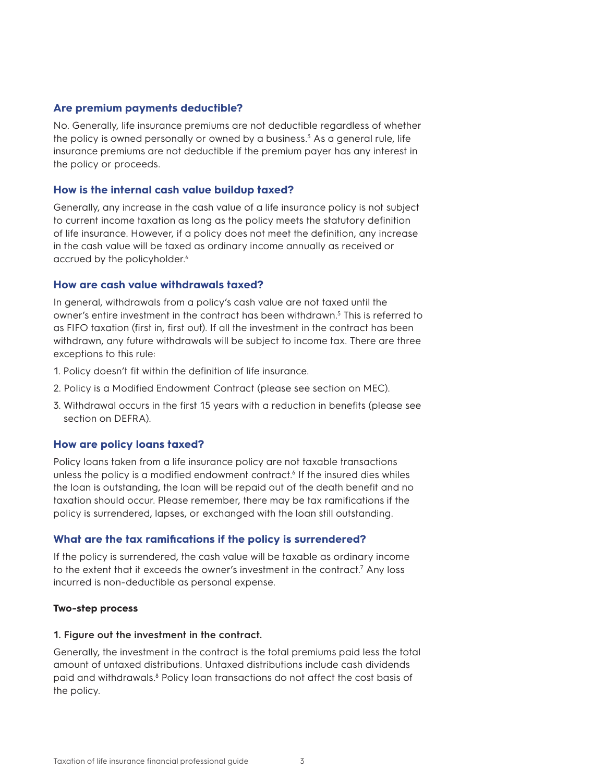#### **Are premium payments deductible?**

No. Generally, life insurance premiums are not deductible regardless of whether the policy is owned personally or owned by a business.<sup>3</sup> As a general rule, life insurance premiums are not deductible if the premium payer has any interest in the policy or proceeds.

#### **How is the internal cash value buildup taxed?**

Generally, any increase in the cash value of a life insurance policy is not subject to current income taxation as long as the policy meets the statutory definition of life insurance. However, if a policy does not meet the definition, any increase in the cash value will be taxed as ordinary income annually as received or accrued by the policyholder.<sup>4</sup>

#### **How are cash value withdrawals taxed?**

In general, withdrawals from a policy's cash value are not taxed until the owner's entire investment in the contract has been withdrawn.<sup>5</sup> This is referred to as FIFO taxation (first in, first out). If all the investment in the contract has been withdrawn, any future withdrawals will be subject to income tax. There are three exceptions to this rule:

- 1. Policy doesn't fit within the definition of life insurance.
- 2. Policy is a Modified Endowment Contract (please see section on MEC).
- 3. Withdrawal occurs in the first 15 years with a reduction in benefits (please see section on DEFRA).

#### **How are policy loans taxed?**

Policy loans taken from a life insurance policy are not taxable transactions unless the policy is a modified endowment contract.<sup>6</sup> If the insured dies whiles the loan is outstanding, the loan will be repaid out of the death benefit and no taxation should occur. Please remember, there may be tax ramifications if the policy is surrendered, lapses, or exchanged with the loan still outstanding.

#### **What are the tax ramifications if the policy is surrendered?**

If the policy is surrendered, the cash value will be taxable as ordinary income to the extent that it exceeds the owner's investment in the contract.<sup>7</sup> Any loss incurred is non-deductible as personal expense.

#### **Two-step process**

#### **1. Figure out the investment in the contract.**

Generally, the investment in the contract is the total premiums paid less the total amount of untaxed distributions. Untaxed distributions include cash dividends paid and withdrawals.<sup>8</sup> Policy loan transactions do not affect the cost basis of the policy.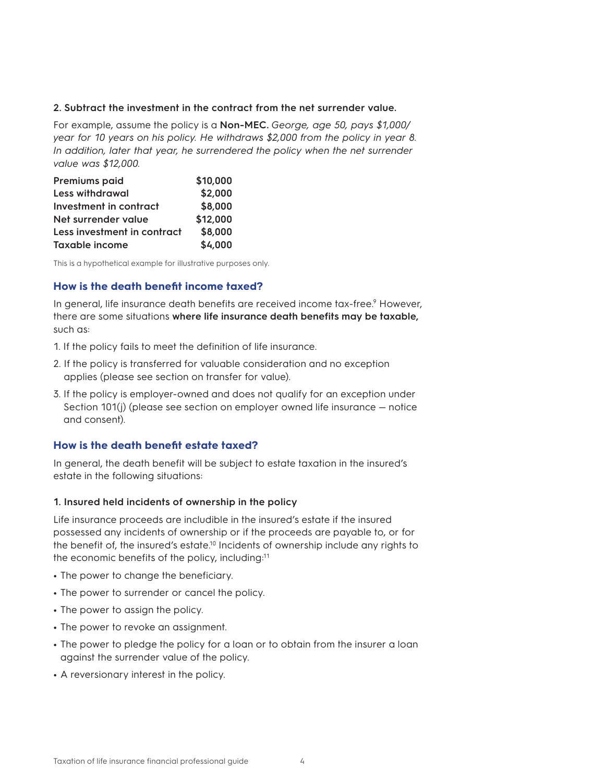#### **2. Subtract the investment in the contract from the net surrender value.**

For example, assume the policy is a **Non-MEC.** *George, age 50, pays \$1,000/ year for 10 years on his policy. He withdraws \$2,000 from the policy in year 8. In addition, later that year, he surrendered the policy when the net surrender value was \$12,000.*

| Premiums paid               | \$10,000 |
|-----------------------------|----------|
| <b>Less withdrawal</b>      | \$2,000  |
| Investment in contract      | \$8,000  |
| Net surrender value         | \$12,000 |
| Less investment in contract | \$8,000  |
| <b>Taxable income</b>       | \$4,000  |

This is a hypothetical example for illustrative purposes only.

#### **How is the death benefit income taxed?**

In general, life insurance death benefits are received income tax-free.<sup>9</sup> However, there are some situations **where life insurance death benefits may be taxable,** such as:

- 1. If the policy fails to meet the definition of life insurance.
- 2. If the policy is transferred for valuable consideration and no exception applies (please see section on transfer for value).
- 3. If the policy is employer-owned and does not qualify for an exception under Section 101(j) (please see section on employer owned life insurance — notice and consent).

#### **How is the death benefit estate taxed?**

In general, the death benefit will be subject to estate taxation in the insured's estate in the following situations:

#### **1. Insured held incidents of ownership in the policy**

Life insurance proceeds are includible in the insured's estate if the insured possessed any incidents of ownership or if the proceeds are payable to, or for the benefit of, the insured's estate.10 Incidents of ownership include any rights to the economic benefits of the policy, including:11

- **•** The power to change the beneficiary.
- **•** The power to surrender or cancel the policy.
- **•** The power to assign the policy.
- **•** The power to revoke an assignment.
- **•** The power to pledge the policy for a loan or to obtain from the insurer a loan against the surrender value of the policy.
- **•** A reversionary interest in the policy.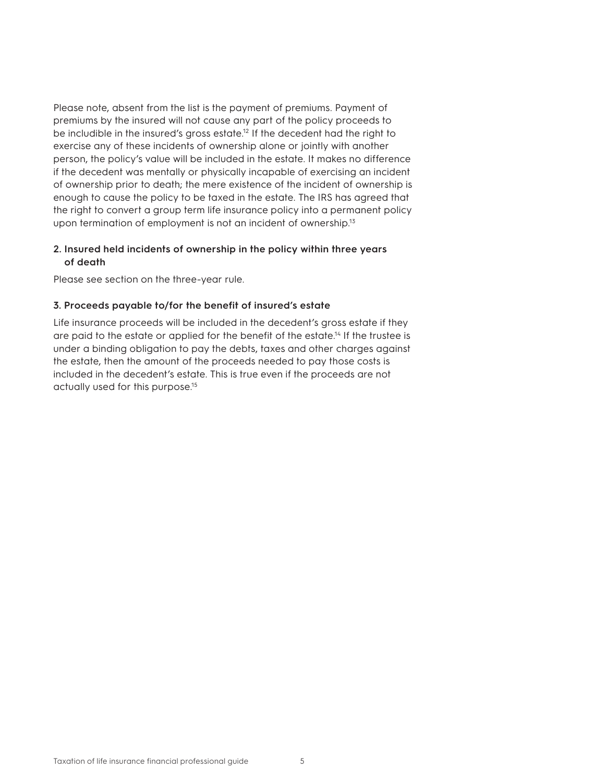Please note, absent from the list is the payment of premiums. Payment of premiums by the insured will not cause any part of the policy proceeds to be includible in the insured's gross estate.<sup>12</sup> If the decedent had the right to exercise any of these incidents of ownership alone or jointly with another person, the policy's value will be included in the estate. It makes no difference if the decedent was mentally or physically incapable of exercising an incident of ownership prior to death; the mere existence of the incident of ownership is enough to cause the policy to be taxed in the estate. The IRS has agreed that the right to convert a group term life insurance policy into a permanent policy upon termination of employment is not an incident of ownership.<sup>13</sup>

#### **2. Insured held incidents of ownership in the policy within three years of death**

Please see section on the three-year rule.

#### **3. Proceeds payable to/for the benefit of insured's estate**

Life insurance proceeds will be included in the decedent's gross estate if they are paid to the estate or applied for the benefit of the estate.<sup>14</sup> If the trustee is under a binding obligation to pay the debts, taxes and other charges against the estate, then the amount of the proceeds needed to pay those costs is included in the decedent's estate. This is true even if the proceeds are not actually used for this purpose.15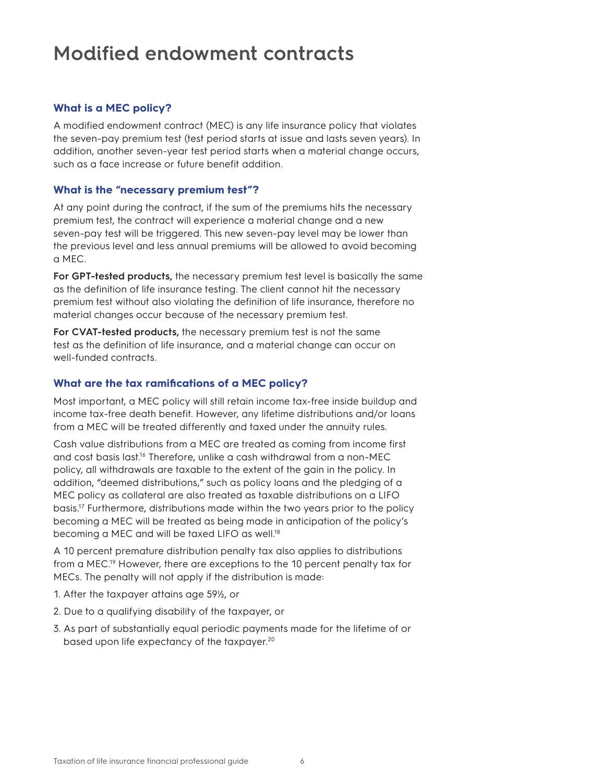### **Modified endowment contracts**

#### **What is a MEC policy?**

A modified endowment contract (MEC) is any life insurance policy that violates the seven-pay premium test (test period starts at issue and lasts seven years). In addition, another seven-year test period starts when a material change occurs, such as a face increase or future benefit addition.

#### **What is the "necessary premium test"?**

At any point during the contract, if the sum of the premiums hits the necessary premium test, the contract will experience a material change and a new seven-pay test will be triggered. This new seven-pay level may be lower than the previous level and less annual premiums will be allowed to avoid becoming a MEC.

**For GPT-tested products,** the necessary premium test level is basically the same as the definition of life insurance testing. The client cannot hit the necessary premium test without also violating the definition of life insurance, therefore no material changes occur because of the necessary premium test.

**For CVAT-tested products,** the necessary premium test is not the same test as the definition of life insurance, and a material change can occur on well-funded contracts.

#### **What are the tax ramifications of a MEC policy?**

Most important, a MEC policy will still retain income tax-free inside buildup and income tax-free death benefit. However, any lifetime distributions and/or loans from a MEC will be treated differently and taxed under the annuity rules.

Cash value distributions from a MEC are treated as coming from income first and cost basis last.<sup>16</sup> Therefore, unlike a cash withdrawal from a non-MEC policy, all withdrawals are taxable to the extent of the gain in the policy. In addition, "deemed distributions," such as policy loans and the pledging of a MEC policy as collateral are also treated as taxable distributions on a LIFO basis.17 Furthermore, distributions made within the two years prior to the policy becoming a MEC will be treated as being made in anticipation of the policy's becoming a MEC and will be taxed LIFO as well.18

A 10 percent premature distribution penalty tax also applies to distributions from a MEC.19 However, there are exceptions to the 10 percent penalty tax for MECs. The penalty will not apply if the distribution is made:

- 1. After the taxpayer attains age 59½, or
- 2. Due to a qualifying disability of the taxpayer, or
- 3. As part of substantially equal periodic payments made for the lifetime of or based upon life expectancy of the taxpayer.<sup>20</sup>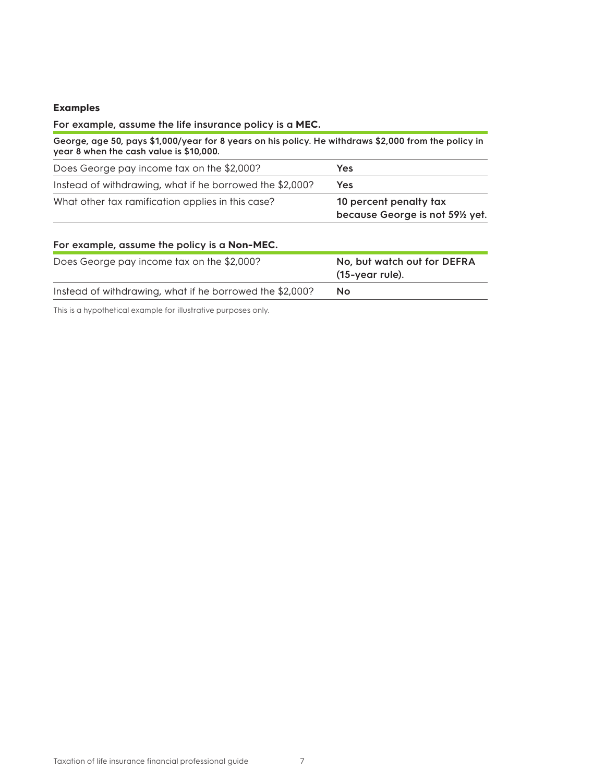### **Examples**

| For example, assume the life insurance policy is a MEC.                                                                                         |                                                            |
|-------------------------------------------------------------------------------------------------------------------------------------------------|------------------------------------------------------------|
| George, age 50, pays \$1,000/year for 8 years on his policy. He withdraws \$2,000 from the policy in<br>year 8 when the cash value is \$10,000. |                                                            |
| Does George pay income tax on the \$2,000?                                                                                                      | <b>Yes</b>                                                 |
| Instead of withdrawing, what if he borrowed the \$2,000?                                                                                        | <b>Yes</b>                                                 |
| What other tax ramification applies in this case?                                                                                               | 10 percent penalty tax<br>because George is not 591/2 yet. |
| For example, assume the policy is a Non-MEC.                                                                                                    |                                                            |
| Does George pay income tax on the \$2,000?                                                                                                      | No, but watch out for DEFRA<br>(15-year rule).             |
| Instead of withdrawing, what if he borrowed the \$2,000?                                                                                        | No                                                         |

This is a hypothetical example for illustrative purposes only.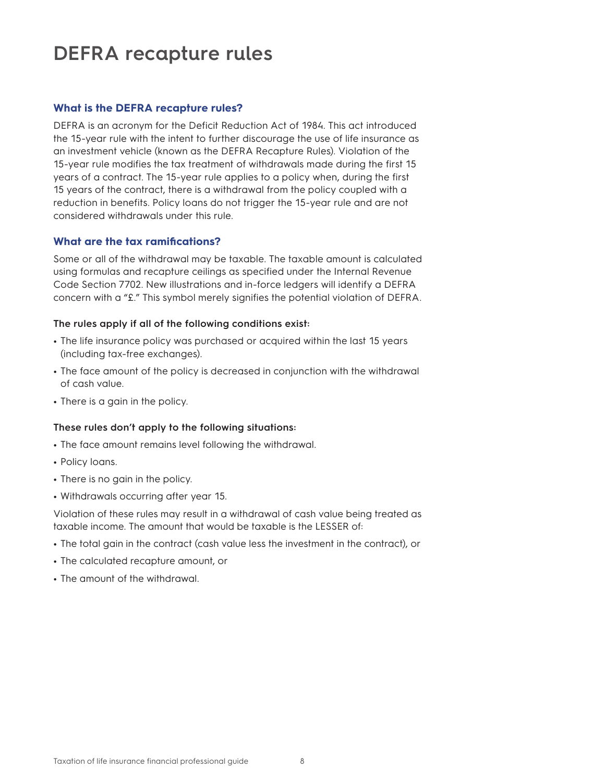## **DEFRA recapture rules**

#### **What is the DEFRA recapture rules?**

DEFRA is an acronym for the Deficit Reduction Act of 1984. This act introduced the 15-year rule with the intent to further discourage the use of life insurance as an investment vehicle (known as the DEFRA Recapture Rules). Violation of the 15-year rule modifies the tax treatment of withdrawals made during the first 15 years of a contract. The 15-year rule applies to a policy when, during the first 15 years of the contract, there is a withdrawal from the policy coupled with a reduction in benefits. Policy loans do not trigger the 15-year rule and are not considered withdrawals under this rule.

#### **What are the tax ramifications?**

Some or all of the withdrawal may be taxable. The taxable amount is calculated using formulas and recapture ceilings as specified under the Internal Revenue Code Section 7702. New illustrations and in-force ledgers will identify a DEFRA concern with a "£." This symbol merely signifies the potential violation of DEFRA.

#### **The rules apply if all of the following conditions exist:**

- **•** The life insurance policy was purchased or acquired within the last 15 years (including tax-free exchanges).
- **•** The face amount of the policy is decreased in conjunction with the withdrawal of cash value.
- **•** There is a gain in the policy.

#### **These rules don't apply to the following situations:**

- **•** The face amount remains level following the withdrawal.
- **•** Policy loans.
- **•** There is no gain in the policy.
- **•** Withdrawals occurring after year 15.

Violation of these rules may result in a withdrawal of cash value being treated as taxable income. The amount that would be taxable is the LESSER of:

- **•** The total gain in the contract (cash value less the investment in the contract), or
- **•** The calculated recapture amount, or
- **•** The amount of the withdrawal.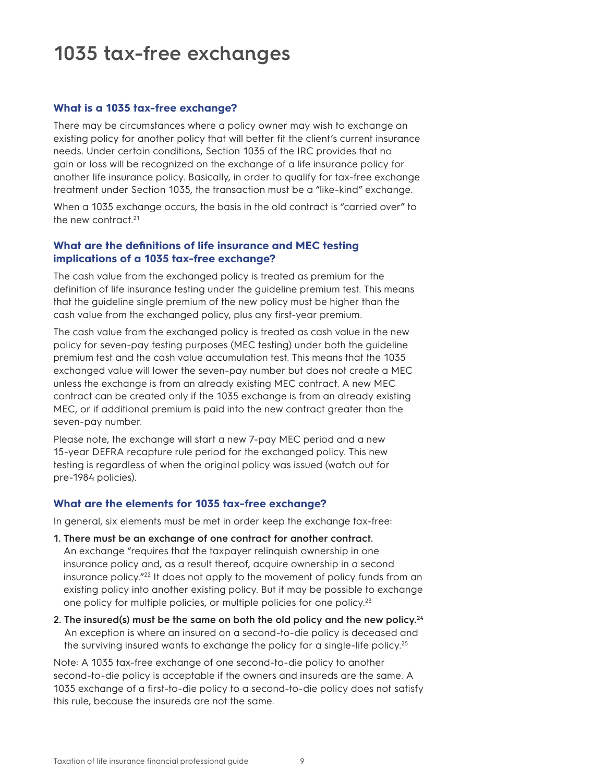## **1035 tax-free exchanges**

#### **What is a 1035 tax-free exchange?**

There may be circumstances where a policy owner may wish to exchange an existing policy for another policy that will better fit the client's current insurance needs. Under certain conditions, Section 1035 of the IRC provides that no gain or loss will be recognized on the exchange of a life insurance policy for another life insurance policy. Basically, in order to qualify for tax-free exchange treatment under Section 1035, the transaction must be a "like-kind" exchange.

When a 1035 exchange occurs, the basis in the old contract is "carried over" to the new contract.<sup>21</sup>

#### **What are the definitions of life insurance and MEC testing implications of a 1035 tax-free exchange?**

The cash value from the exchanged policy is treated as premium for the definition of life insurance testing under the guideline premium test. This means that the guideline single premium of the new policy must be higher than the cash value from the exchanged policy, plus any first-year premium.

The cash value from the exchanged policy is treated as cash value in the new policy for seven-pay testing purposes (MEC testing) under both the guideline premium test and the cash value accumulation test. This means that the 1035 exchanged value will lower the seven-pay number but does not create a MEC unless the exchange is from an already existing MEC contract. A new MEC contract can be created only if the 1035 exchange is from an already existing MEC, or if additional premium is paid into the new contract greater than the seven-pay number.

Please note, the exchange will start a new 7-pay MEC period and a new 15-year DEFRA recapture rule period for the exchanged policy. This new testing is regardless of when the original policy was issued (watch out for pre-1984 policies).

#### **What are the elements for 1035 tax-free exchange?**

In general, six elements must be met in order keep the exchange tax-free:

- **1. There must be an exchange of one contract for another contract.**  An exchange "requires that the taxpayer relinquish ownership in one insurance policy and, as a result thereof, acquire ownership in a second insurance policy."22 It does not apply to the movement of policy funds from an existing policy into another existing policy. But it may be possible to exchange one policy for multiple policies, or multiple policies for one policy.<sup>23</sup>
- **2. The insured(s) must be the same on both the old policy and the new policy.24** An exception is where an insured on a second-to-die policy is deceased and the surviving insured wants to exchange the policy for a single-life policy.25

Note: A 1035 tax-free exchange of one second-to-die policy to another second-to-die policy is acceptable if the owners and insureds are the same. A 1035 exchange of a first-to-die policy to a second-to-die policy does not satisfy this rule, because the insureds are not the same.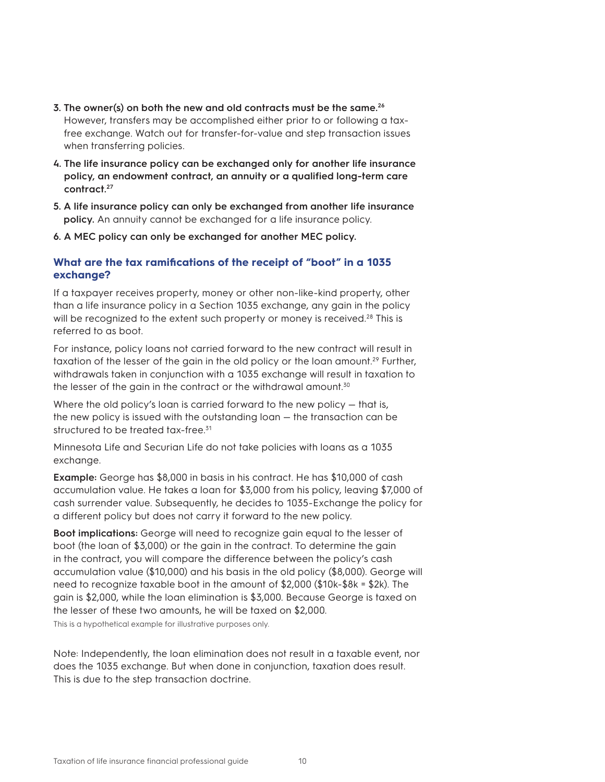- **3. The owner(s) on both the new and old contracts must be the same.26** However, transfers may be accomplished either prior to or following a taxfree exchange. Watch out for transfer-for-value and step transaction issues when transferring policies.
- **4. The life insurance policy can be exchanged only for another life insurance policy, an endowment contract, an annuity or a qualified long-term care contract.27**
- **5. A life insurance policy can only be exchanged from another life insurance policy.** An annuity cannot be exchanged for a life insurance policy.
- **6. A MEC policy can only be exchanged for another MEC policy.**

#### **What are the tax ramifications of the receipt of "boot" in a 1035 exchange?**

If a taxpayer receives property, money or other non-like-kind property, other than a life insurance policy in a Section 1035 exchange, any gain in the policy will be recognized to the extent such property or money is received.<sup>28</sup> This is referred to as boot.

For instance, policy loans not carried forward to the new contract will result in taxation of the lesser of the gain in the old policy or the loan amount.<sup>29</sup> Further, withdrawals taken in conjunction with a 1035 exchange will result in taxation to the lesser of the gain in the contract or the withdrawal amount.<sup>30</sup>

Where the old policy's loan is carried forward to the new policy — that is, the new policy is issued with the outstanding loan — the transaction can be structured to be treated tax-free.<sup>31</sup>

Minnesota Life and Securian Life do not take policies with loans as a 1035 exchange.

**Example:** George has \$8,000 in basis in his contract. He has \$10,000 of cash accumulation value. He takes a loan for \$3,000 from his policy, leaving \$7,000 of cash surrender value. Subsequently, he decides to 1035-Exchange the policy for a different policy but does not carry it forward to the new policy.

**Boot implications:** George will need to recognize gain equal to the lesser of boot (the loan of \$3,000) or the gain in the contract. To determine the gain in the contract, you will compare the difference between the policy's cash accumulation value (\$10,000) and his basis in the old policy (\$8,000). George will need to recognize taxable boot in the amount of \$2,000 (\$10k-\$8k = \$2k). The gain is \$2,000, while the loan elimination is \$3,000. Because George is taxed on the lesser of these two amounts, he will be taxed on \$2,000.

This is a hypothetical example for illustrative purposes only.

Note: Independently, the loan elimination does not result in a taxable event, nor does the 1035 exchange. But when done in conjunction, taxation does result. This is due to the step transaction doctrine.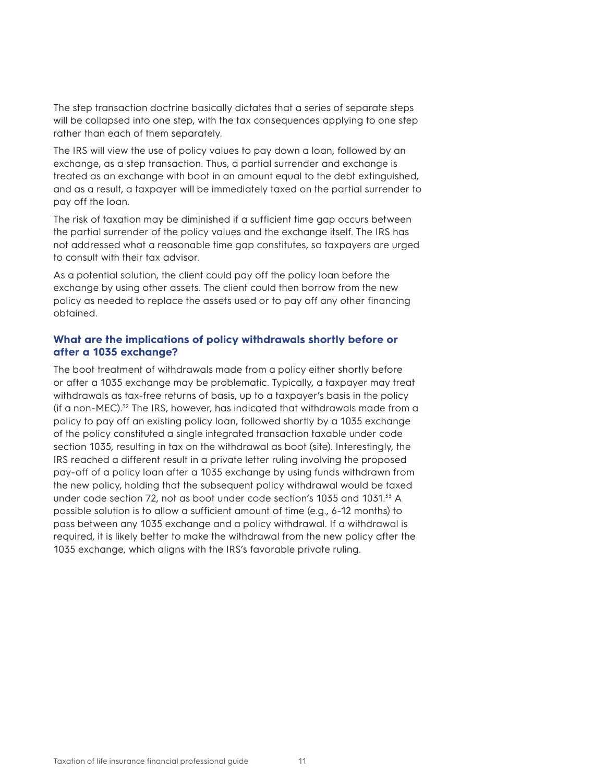The step transaction doctrine basically dictates that a series of separate steps will be collapsed into one step, with the tax consequences applying to one step rather than each of them separately.

The IRS will view the use of policy values to pay down a loan, followed by an exchange, as a step transaction. Thus, a partial surrender and exchange is treated as an exchange with boot in an amount equal to the debt extinguished, and as a result, a taxpayer will be immediately taxed on the partial surrender to pay off the loan.

The risk of taxation may be diminished if a sufficient time gap occurs between the partial surrender of the policy values and the exchange itself. The IRS has not addressed what a reasonable time gap constitutes, so taxpayers are urged to consult with their tax advisor.

As a potential solution, the client could pay off the policy loan before the exchange by using other assets. The client could then borrow from the new policy as needed to replace the assets used or to pay off any other financing obtained.

#### **What are the implications of policy withdrawals shortly before or after a 1035 exchange?**

The boot treatment of withdrawals made from a policy either shortly before or after a 1035 exchange may be problematic. Typically, a taxpayer may treat withdrawals as tax-free returns of basis, up to a taxpayer's basis in the policy (if a non-MEC).32 The IRS, however, has indicated that withdrawals made from a policy to pay off an existing policy loan, followed shortly by a 1035 exchange of the policy constituted a single integrated transaction taxable under code section 1035, resulting in tax on the withdrawal as boot (site). Interestingly, the IRS reached a different result in a private letter ruling involving the proposed pay-off of a policy loan after a 1035 exchange by using funds withdrawn from the new policy, holding that the subsequent policy withdrawal would be taxed under code section 72, not as boot under code section's 1035 and 1031.33 A possible solution is to allow a sufficient amount of time (e.g., 6-12 months) to pass between any 1035 exchange and a policy withdrawal. If a withdrawal is required, it is likely better to make the withdrawal from the new policy after the 1035 exchange, which aligns with the IRS's favorable private ruling.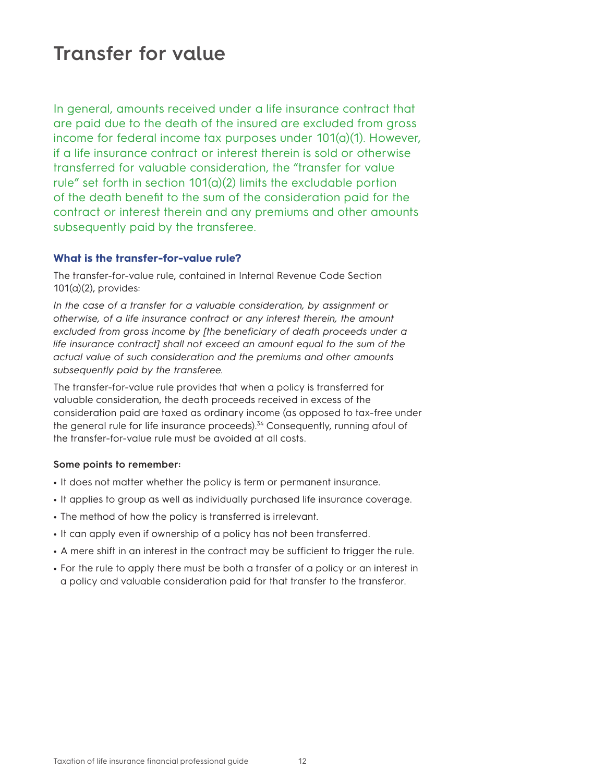### **Transfer for value**

In general, amounts received under a life insurance contract that are paid due to the death of the insured are excluded from gross income for federal income tax purposes under 101(a)(1). However, if a life insurance contract or interest therein is sold or otherwise transferred for valuable consideration, the "transfer for value rule" set forth in section  $101(a)(2)$  limits the excludable portion of the death benefit to the sum of the consideration paid for the contract or interest therein and any premiums and other amounts subsequently paid by the transferee.

#### **What is the transfer-for-value rule?**

The transfer-for-value rule, contained in Internal Revenue Code Section 101(a)(2), provides:

In the case of a transfer for a valuable consideration, by assignment or *otherwise, of a life insurance contract or any interest therein, the amount excluded from gross income by [the beneficiary of death proceeds under a life insurance contract] shall not exceed an amount equal to the sum of the actual value of such consideration and the premiums and other amounts subsequently paid by the transferee.*

The transfer-for-value rule provides that when a policy is transferred for valuable consideration, the death proceeds received in excess of the consideration paid are taxed as ordinary income (as opposed to tax-free under the general rule for life insurance proceeds).34 Consequently, running afoul of the transfer-for-value rule must be avoided at all costs.

#### **Some points to remember:**

- **•** It does not matter whether the policy is term or permanent insurance.
- **•** It applies to group as well as individually purchased life insurance coverage.
- **•** The method of how the policy is transferred is irrelevant.
- **•** It can apply even if ownership of a policy has not been transferred.
- **•** A mere shift in an interest in the contract may be sufficient to trigger the rule.
- **•** For the rule to apply there must be both a transfer of a policy or an interest in a policy and valuable consideration paid for that transfer to the transferor.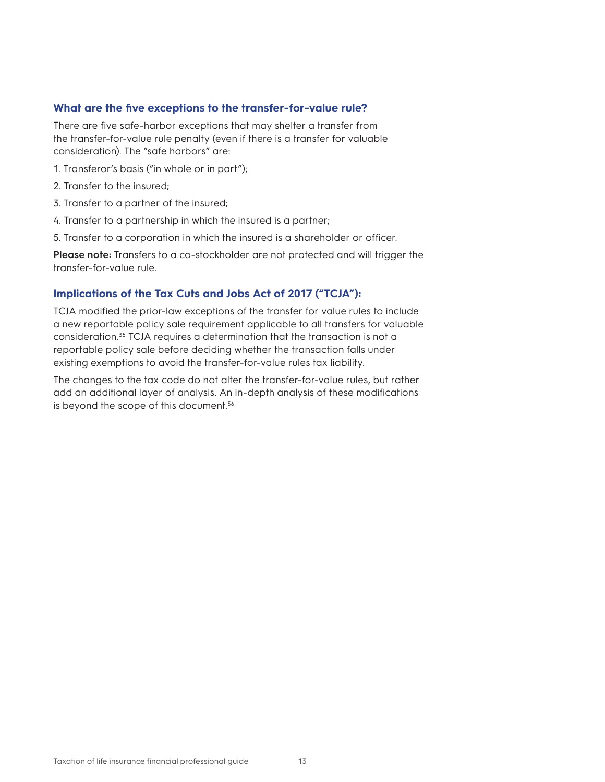#### **What are the five exceptions to the transfer-for-value rule?**

There are five safe-harbor exceptions that may shelter a transfer from the transfer-for-value rule penalty (even if there is a transfer for valuable consideration). The "safe harbors" are:

- 1. Transferor's basis ("in whole or in part");
- 2. Transfer to the insured;
- 3. Transfer to a partner of the insured;
- 4. Transfer to a partnership in which the insured is a partner;
- 5. Transfer to a corporation in which the insured is a shareholder or officer.

**Please note:** Transfers to a co-stockholder are not protected and will trigger the transfer-for-value rule.

#### **Implications of the Tax Cuts and Jobs Act of 2017 ("TCJA"):**

TCJA modified the prior-law exceptions of the transfer for value rules to include a new reportable policy sale requirement applicable to all transfers for valuable consideration.35 TCJA requires a determination that the transaction is not a reportable policy sale before deciding whether the transaction falls under existing exemptions to avoid the transfer-for-value rules tax liability.

The changes to the tax code do not alter the transfer-for-value rules, but rather add an additional layer of analysis. An in-depth analysis of these modifications is beyond the scope of this document.<sup>36</sup>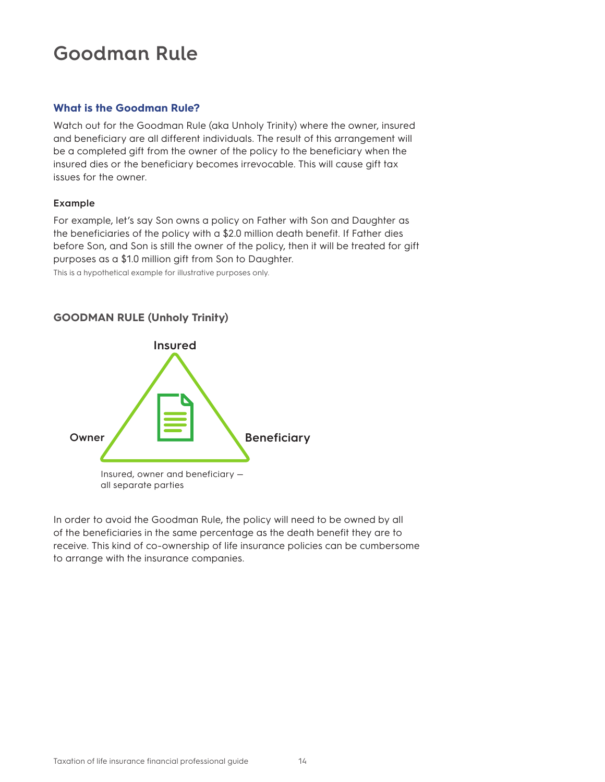## **Goodman Rule**

#### **What is the Goodman Rule?**

Watch out for the Goodman Rule (aka Unholy Trinity) where the owner, insured and beneficiary are all different individuals. The result of this arrangement will be a completed gift from the owner of the policy to the beneficiary when the insured dies or the beneficiary becomes irrevocable. This will cause gift tax issues for the owner.

#### **Example**

For example, let's say Son owns a policy on Father with Son and Daughter as the beneficiaries of the policy with a \$2.0 million death benefit. If Father dies before Son, and Son is still the owner of the policy, then it will be treated for gift purposes as a \$1.0 million gift from Son to Daughter.

This is a hypothetical example for illustrative purposes only.

#### **GOODMAN RULE (Unholy Trinity)**



In order to avoid the Goodman Rule, the policy will need to be owned by all of the beneficiaries in the same percentage as the death benefit they are to receive. This kind of co-ownership of life insurance policies can be cumbersome to arrange with the insurance companies.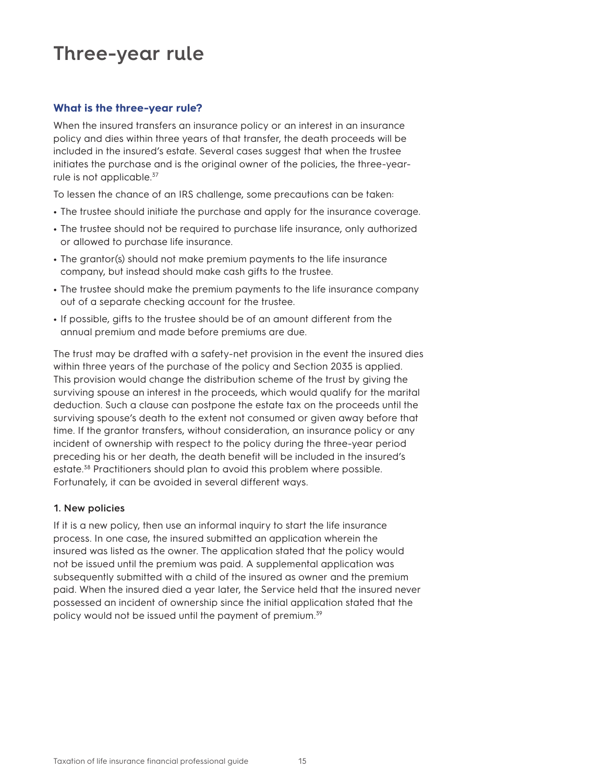### **Three-year rule**

#### **What is the three-year rule?**

When the insured transfers an insurance policy or an interest in an insurance policy and dies within three years of that transfer, the death proceeds will be included in the insured's estate. Several cases suggest that when the trustee initiates the purchase and is the original owner of the policies, the three-yearrule is not applicable.<sup>37</sup>

To lessen the chance of an IRS challenge, some precautions can be taken:

- **•** The trustee should initiate the purchase and apply for the insurance coverage.
- **•** The trustee should not be required to purchase life insurance, only authorized or allowed to purchase life insurance.
- **•** The grantor(s) should not make premium payments to the life insurance company, but instead should make cash gifts to the trustee.
- **•** The trustee should make the premium payments to the life insurance company out of a separate checking account for the trustee.
- **•** If possible, gifts to the trustee should be of an amount different from the annual premium and made before premiums are due.

The trust may be drafted with a safety-net provision in the event the insured dies within three years of the purchase of the policy and Section 2035 is applied. This provision would change the distribution scheme of the trust by giving the surviving spouse an interest in the proceeds, which would qualify for the marital deduction. Such a clause can postpone the estate tax on the proceeds until the surviving spouse's death to the extent not consumed or given away before that time. If the grantor transfers, without consideration, an insurance policy or any incident of ownership with respect to the policy during the three-year period preceding his or her death, the death benefit will be included in the insured's estate.38 Practitioners should plan to avoid this problem where possible. Fortunately, it can be avoided in several different ways.

#### **1. New policies**

If it is a new policy, then use an informal inquiry to start the life insurance process. In one case, the insured submitted an application wherein the insured was listed as the owner. The application stated that the policy would not be issued until the premium was paid. A supplemental application was subsequently submitted with a child of the insured as owner and the premium paid. When the insured died a year later, the Service held that the insured never possessed an incident of ownership since the initial application stated that the policy would not be issued until the payment of premium.<sup>39</sup>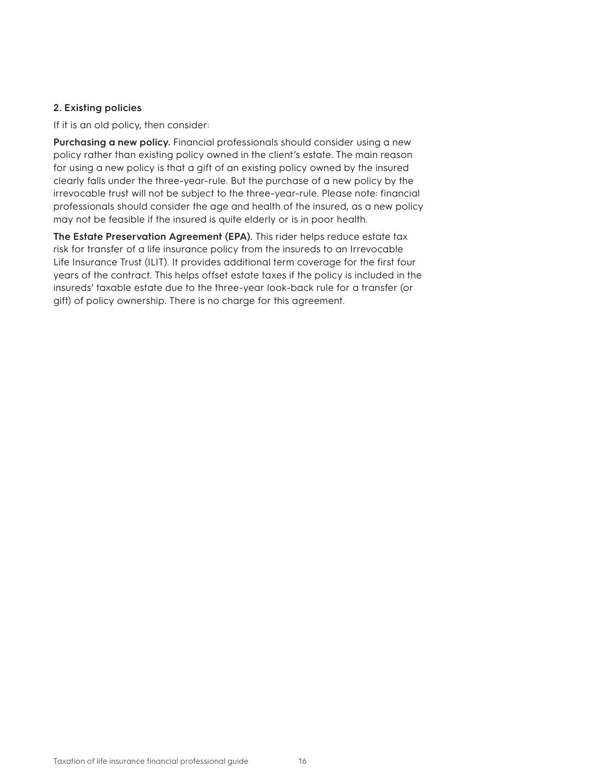#### **2. Existing policies**

If it is an old policy, then consider:

**Purchasing a new policy.** Financial professionals should consider using a new policy rather than existing policy owned in the client's estate. The main reason for using a new policy is that a gift of an existing policy owned by the insured clearly falls under the three-year-rule. But the purchase of a new policy by the irrevocable trust will not be subject to the three-year-rule. Please note: financial professionals should consider the age and health of the insured, as a new policy may not be feasible if the insured is quite elderly or is in poor health.

**The Estate Preservation Agreement (EPA).** This rider helps reduce estate tax risk for transfer of a life insurance policy from the insureds to an Irrevocable Life Insurance Trust (ILIT). It provides additional term coverage for the first four years of the contract. This helps offset estate taxes if the policy is included in the insureds' taxable estate due to the three-year look-back rule for a transfer (or gift) of policy ownership. There is no charge for this agreement.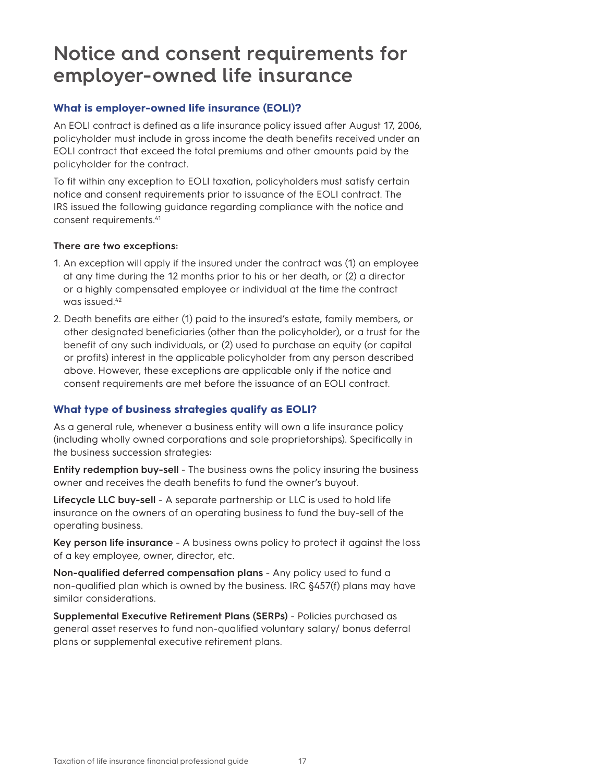### **Notice and consent requirements for employer-owned life insurance**

#### **What is employer-owned life insurance (EOLI)?**

An EOLI contract is defined as a life insurance policy issued after August 17, 2006, policyholder must include in gross income the death benefits received under an EOLI contract that exceed the total premiums and other amounts paid by the policyholder for the contract.

To fit within any exception to EOLI taxation, policyholders must satisfy certain notice and consent requirements prior to issuance of the EOLI contract. The IRS issued the following guidance regarding compliance with the notice and consent requirements.41

#### **There are two exceptions:**

- 1. An exception will apply if the insured under the contract was (1) an employee at any time during the 12 months prior to his or her death, or (2) a director or a highly compensated employee or individual at the time the contract was issued.<sup>42</sup>
- 2. Death benefits are either (1) paid to the insured's estate, family members, or other designated beneficiaries (other than the policyholder), or a trust for the benefit of any such individuals, or (2) used to purchase an equity (or capital or profits) interest in the applicable policyholder from any person described above. However, these exceptions are applicable only if the notice and consent requirements are met before the issuance of an EOLI contract.

#### **What type of business strategies qualify as EOLI?**

As a general rule, whenever a business entity will own a life insurance policy (including wholly owned corporations and sole proprietorships). Specifically in the business succession strategies:

**Entity redemption buy-sell** - The business owns the policy insuring the business owner and receives the death benefits to fund the owner's buyout.

**Lifecycle LLC buy-sell** - A separate partnership or LLC is used to hold life insurance on the owners of an operating business to fund the buy-sell of the operating business.

**Key person life insurance** - A business owns policy to protect it against the loss of a key employee, owner, director, etc.

**Non-qualified deferred compensation plans** - Any policy used to fund a non-qualified plan which is owned by the business. IRC §457(f) plans may have similar considerations.

**Supplemental Executive Retirement Plans (SERPs)** - Policies purchased as general asset reserves to fund non-qualified voluntary salary/ bonus deferral plans or supplemental executive retirement plans.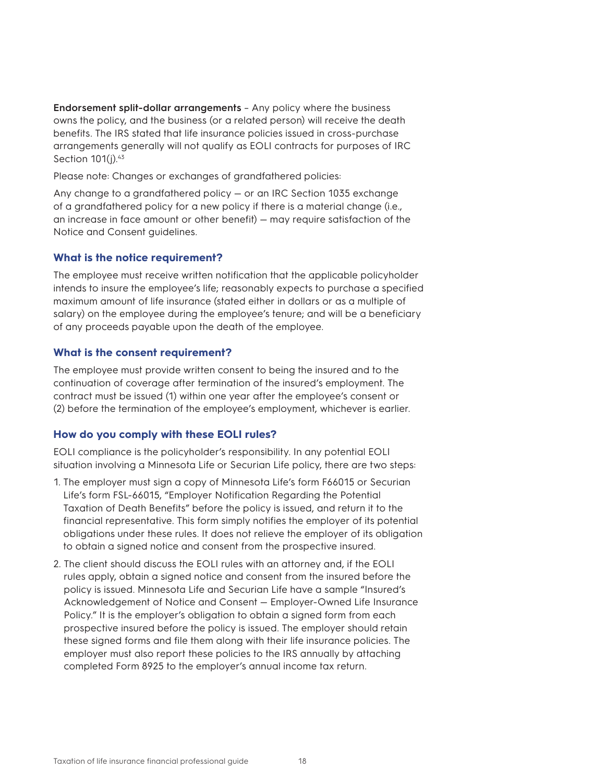**Endorsement split-dollar arrangements** – Any policy where the business owns the policy, and the business (or a related person) will receive the death benefits. The IRS stated that life insurance policies issued in cross-purchase arrangements generally will not qualify as EOLI contracts for purposes of IRC Section 101(j).<sup>43</sup>

Please note: Changes or exchanges of grandfathered policies:

Any change to a grandfathered policy — or an IRC Section 1035 exchange of a grandfathered policy for a new policy if there is a material change (i.e., an increase in face amount or other benefit) — may require satisfaction of the Notice and Consent guidelines.

#### **What is the notice requirement?**

The employee must receive written notification that the applicable policyholder intends to insure the employee's life; reasonably expects to purchase a specified maximum amount of life insurance (stated either in dollars or as a multiple of salary) on the employee during the employee's tenure; and will be a beneficiary of any proceeds payable upon the death of the employee.

#### **What is the consent requirement?**

The employee must provide written consent to being the insured and to the continuation of coverage after termination of the insured's employment. The contract must be issued (1) within one year after the employee's consent or (2) before the termination of the employee's employment, whichever is earlier.

#### **How do you comply with these EOLI rules?**

EOLI compliance is the policyholder's responsibility. In any potential EOLI situation involving a Minnesota Life or Securian Life policy, there are two steps:

- 1. The employer must sign a copy of Minnesota Life's form F66015 or Securian Life's form FSL-66015, "Employer Notification Regarding the Potential Taxation of Death Benefits" before the policy is issued, and return it to the financial representative. This form simply notifies the employer of its potential obligations under these rules. It does not relieve the employer of its obligation to obtain a signed notice and consent from the prospective insured.
- 2. The client should discuss the EOLI rules with an attorney and, if the EOLI rules apply, obtain a signed notice and consent from the insured before the policy is issued. Minnesota Life and Securian Life have a sample "Insured's Acknowledgement of Notice and Consent — Employer-Owned Life Insurance Policy." It is the employer's obligation to obtain a signed form from each prospective insured before the policy is issued. The employer should retain these signed forms and file them along with their life insurance policies. The employer must also report these policies to the IRS annually by attaching completed Form 8925 to the employer's annual income tax return.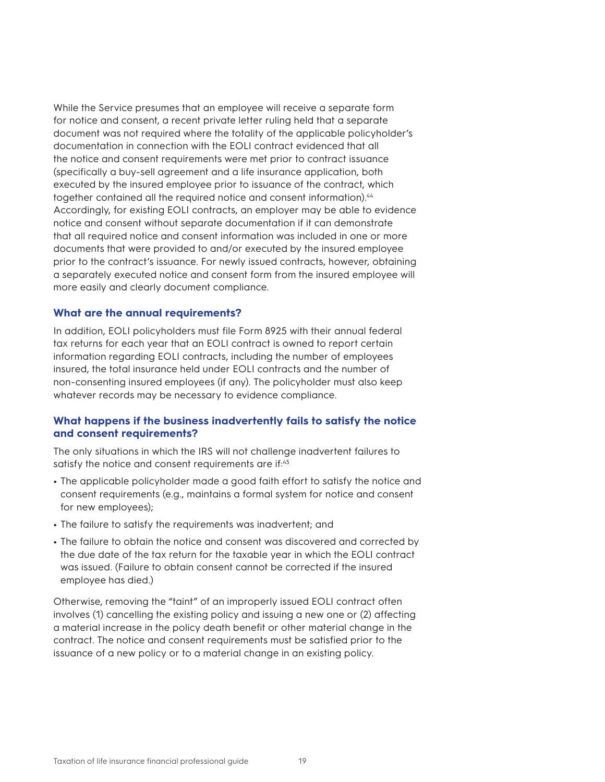While the Service presumes that an employee will receive a separate form for notice and consent, a recent private letter ruling held that a separate document was not required where the totality of the applicable policyholder's documentation in connection with the EOLI contract evidenced that all the notice and consent requirements were met prior to contract issuance (specifically a buy-sell agreement and a life insurance application, both executed by the insured employee prior to issuance of the contract, which together contained all the required notice and consent information).44 Accordingly, for existing EOLI contracts, an employer may be able to evidence notice and consent without separate documentation if it can demonstrate that all required notice and consent information was included in one or more documents that were provided to and/or executed by the insured employee prior to the contract's issuance. For newly issued contracts, however, obtaining a separately executed notice and consent form from the insured employee will more easily and clearly document compliance.

#### **What are the annual requirements?**

In addition, EOLI policyholders must file Form 8925 with their annual federal tax returns for each year that an EOLI contract is owned to report certain information regarding EOLI contracts, including the number of employees insured, the total insurance held under EOLI contracts and the number of non-consenting insured employees (if any). The policyholder must also keep whatever records may be necessary to evidence compliance.

#### **What happens if the business inadvertently fails to satisfy the notice and consent requirements?**

The only situations in which the IRS will not challenge inadvertent failures to satisfy the notice and consent requirements are if:<sup>45</sup>

- **•** The applicable policyholder made a good faith effort to satisfy the notice and consent requirements (e.g., maintains a formal system for notice and consent for new employees);
- **•** The failure to satisfy the requirements was inadvertent; and
- **•** The failure to obtain the notice and consent was discovered and corrected by the due date of the tax return for the taxable year in which the EOLI contract was issued. (Failure to obtain consent cannot be corrected if the insured employee has died.)

Otherwise, removing the "taint" of an improperly issued EOLI contract often involves (1) cancelling the existing policy and issuing a new one or (2) affecting a material increase in the policy death benefit or other material change in the contract. The notice and consent requirements must be satisfied prior to the issuance of a new policy or to a material change in an existing policy.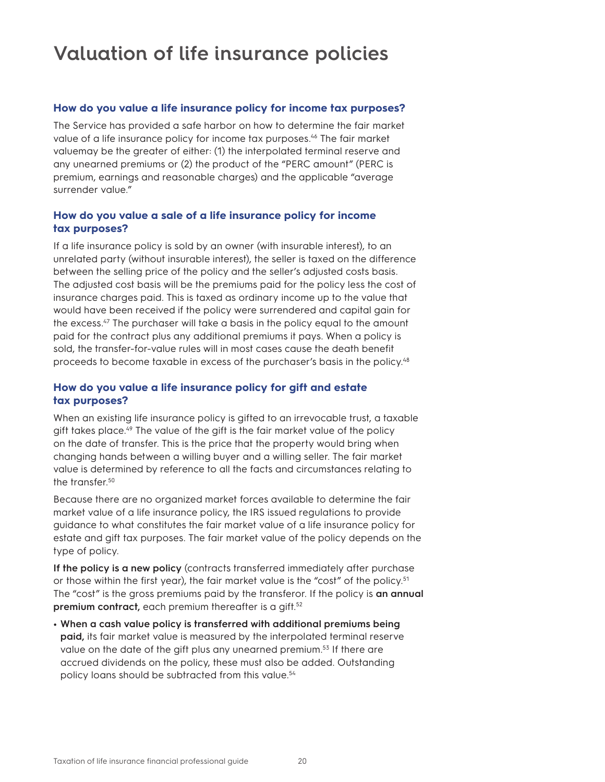## **Valuation of life insurance policies**

#### **How do you value a life insurance policy for income tax purposes?**

The Service has provided a safe harbor on how to determine the fair market value of a life insurance policy for income tax purposes.<sup>46</sup> The fair market valuemay be the greater of either: (1) the interpolated terminal reserve and any unearned premiums or (2) the product of the "PERC amount" (PERC is premium, earnings and reasonable charges) and the applicable "average surrender value."

#### **How do you value a sale of a life insurance policy for income tax purposes?**

If a life insurance policy is sold by an owner (with insurable interest), to an unrelated party (without insurable interest), the seller is taxed on the difference between the selling price of the policy and the seller's adjusted costs basis. The adjusted cost basis will be the premiums paid for the policy less the cost of insurance charges paid. This is taxed as ordinary income up to the value that would have been received if the policy were surrendered and capital gain for the excess.47 The purchaser will take a basis in the policy equal to the amount paid for the contract plus any additional premiums it pays. When a policy is sold, the transfer-for-value rules will in most cases cause the death benefit proceeds to become taxable in excess of the purchaser's basis in the policy.48

#### **How do you value a life insurance policy for gift and estate tax purposes?**

When an existing life insurance policy is gifted to an irrevocable trust, a taxable gift takes place.<sup>49</sup> The value of the gift is the fair market value of the policy on the date of transfer. This is the price that the property would bring when changing hands between a willing buyer and a willing seller. The fair market value is determined by reference to all the facts and circumstances relating to the transfer.50

Because there are no organized market forces available to determine the fair market value of a life insurance policy, the IRS issued regulations to provide guidance to what constitutes the fair market value of a life insurance policy for estate and gift tax purposes. The fair market value of the policy depends on the type of policy.

**If the policy is a new policy** (contracts transferred immediately after purchase or those within the first year), the fair market value is the "cost" of the policy.<sup>51</sup> The "cost" is the gross premiums paid by the transferor. If the policy is **an annual premium contract,** each premium thereafter is a gift.<sup>52</sup>

**• When a cash value policy is transferred with additional premiums being paid,** its fair market value is measured by the interpolated terminal reserve value on the date of the gift plus any unearned premium.<sup>53</sup> If there are accrued dividends on the policy, these must also be added. Outstanding policy loans should be subtracted from this value.<sup>54</sup>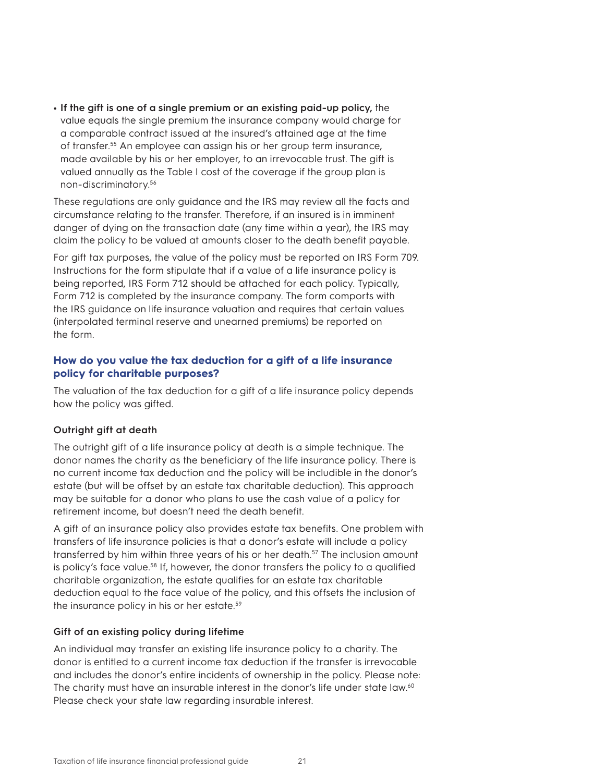**• If the gift is one of a single premium or an existing paid-up policy,** the value equals the single premium the insurance company would charge for a comparable contract issued at the insured's attained age at the time of transfer.55 An employee can assign his or her group term insurance, made available by his or her employer, to an irrevocable trust. The gift is valued annually as the Table I cost of the coverage if the group plan is non-discriminatory.56

These regulations are only guidance and the IRS may review all the facts and circumstance relating to the transfer. Therefore, if an insured is in imminent danger of dying on the transaction date (any time within a year), the IRS may claim the policy to be valued at amounts closer to the death benefit payable.

For gift tax purposes, the value of the policy must be reported on IRS Form 709. Instructions for the form stipulate that if a value of a life insurance policy is being reported, IRS Form 712 should be attached for each policy. Typically, Form 712 is completed by the insurance company. The form comports with the IRS guidance on life insurance valuation and requires that certain values (interpolated terminal reserve and unearned premiums) be reported on the form.

#### **How do you value the tax deduction for a gift of a life insurance policy for charitable purposes?**

The valuation of the tax deduction for a gift of a life insurance policy depends how the policy was gifted.

#### **Outright gift at death**

The outright gift of a life insurance policy at death is a simple technique. The donor names the charity as the beneficiary of the life insurance policy. There is no current income tax deduction and the policy will be includible in the donor's estate (but will be offset by an estate tax charitable deduction). This approach may be suitable for a donor who plans to use the cash value of a policy for retirement income, but doesn't need the death benefit.

A gift of an insurance policy also provides estate tax benefits. One problem with transfers of life insurance policies is that a donor's estate will include a policy transferred by him within three years of his or her death.<sup>57</sup> The inclusion amount is policy's face value.<sup>58</sup> If, however, the donor transfers the policy to a qualified charitable organization, the estate qualifies for an estate tax charitable deduction equal to the face value of the policy, and this offsets the inclusion of the insurance policy in his or her estate.59

#### **Gift of an existing policy during lifetime**

An individual may transfer an existing life insurance policy to a charity. The donor is entitled to a current income tax deduction if the transfer is irrevocable and includes the donor's entire incidents of ownership in the policy. Please note: The charity must have an insurable interest in the donor's life under state law.<sup>60</sup> Please check your state law regarding insurable interest.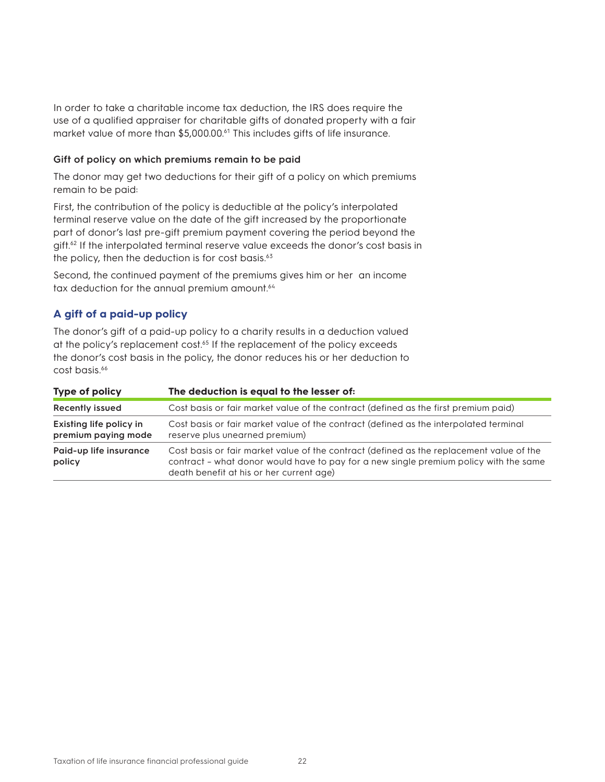In order to take a charitable income tax deduction, the IRS does require the use of a qualified appraiser for charitable gifts of donated property with a fair market value of more than \$5,000.00.<sup>61</sup> This includes gifts of life insurance.

#### **Gift of policy on which premiums remain to be paid**

The donor may get two deductions for their gift of a policy on which premiums remain to be paid:

First, the contribution of the policy is deductible at the policy's interpolated terminal reserve value on the date of the gift increased by the proportionate part of donor's last pre-gift premium payment covering the period beyond the gift.62 If the interpolated terminal reserve value exceeds the donor's cost basis in the policy, then the deduction is for cost basis. $63$ 

Second, the continued payment of the premiums gives him or her an income tax deduction for the annual premium amount.<sup>64</sup>

#### **A gift of a paid-up policy**

The donor's gift of a paid-up policy to a charity results in a deduction valued at the policy's replacement cost.<sup>65</sup> If the replacement of the policy exceeds the donor's cost basis in the policy, the donor reduces his or her deduction to cost basis.<sup>66</sup>

| Type of policy                                 | The deduction is equal to the lesser of:                                                                                                                                                                                      |
|------------------------------------------------|-------------------------------------------------------------------------------------------------------------------------------------------------------------------------------------------------------------------------------|
| <b>Recently issued</b>                         | Cost basis or fair market value of the contract (defined as the first premium paid)                                                                                                                                           |
| Existing life policy in<br>premium paying mode | Cost basis or fair market value of the contract (defined as the interpolated terminal<br>reserve plus unearned premium)                                                                                                       |
| Paid-up life insurance<br>policy               | Cost basis or fair market value of the contract (defined as the replacement value of the<br>contract - what donor would have to pay for a new single premium policy with the same<br>death benefit at his or her current age) |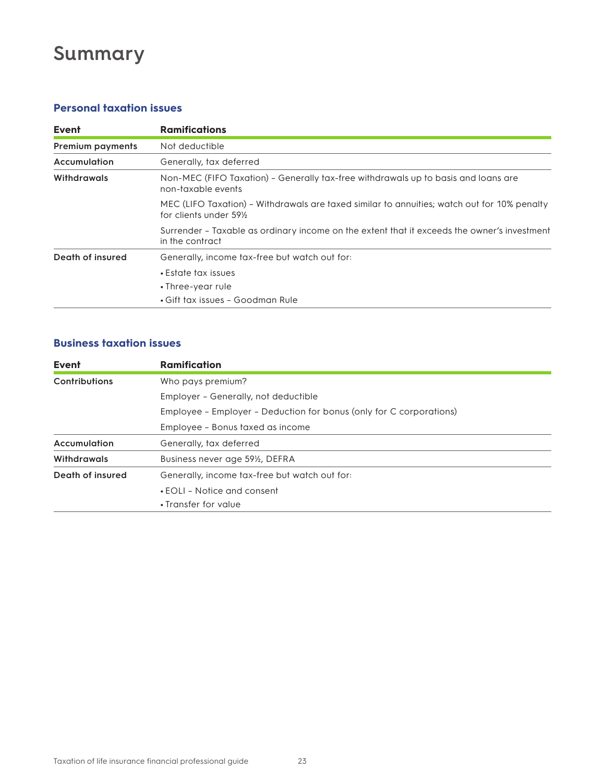# **Summary**

### **Personal taxation issues**

| Event                   | <b>Ramifications</b>                                                                                                               |
|-------------------------|------------------------------------------------------------------------------------------------------------------------------------|
| <b>Premium payments</b> | Not deductible                                                                                                                     |
| Accumulation            | Generally, tax deferred                                                                                                            |
| <b>Withdrawals</b>      | Non-MEC (FIFO Taxation) - Generally tax-free withdrawals up to basis and loans are<br>non-taxable events                           |
|                         | MEC (LIFO Taxation) - Withdrawals are taxed similar to annuities; watch out for 10% penalty<br>for clients under 59 <sup>1/2</sup> |
|                         | Surrender - Taxable as ordinary income on the extent that it exceeds the owner's investment<br>in the contract                     |
| Death of insured        | Generally, income tax-free but watch out for:                                                                                      |
|                         | • Estate tax issues                                                                                                                |
|                         | • Three-year rule                                                                                                                  |
|                         | • Gift tax issues – Goodman Rule                                                                                                   |

### **Business taxation issues**

| Event            | <b>Ramification</b>                                                 |
|------------------|---------------------------------------------------------------------|
| Contributions    | Who pays premium?                                                   |
|                  | Employer - Generally, not deductible                                |
|                  | Employee - Employer - Deduction for bonus (only for C corporations) |
|                  | Employee - Bonus taxed as income                                    |
| Accumulation     | Generally, tax deferred                                             |
| Withdrawals      | Business never age 59 <sup>1/2</sup> , DEFRA                        |
| Death of insured | Generally, income tax-free but watch out for:                       |
|                  | • EOLI - Notice and consent                                         |
|                  | • Transfer for value                                                |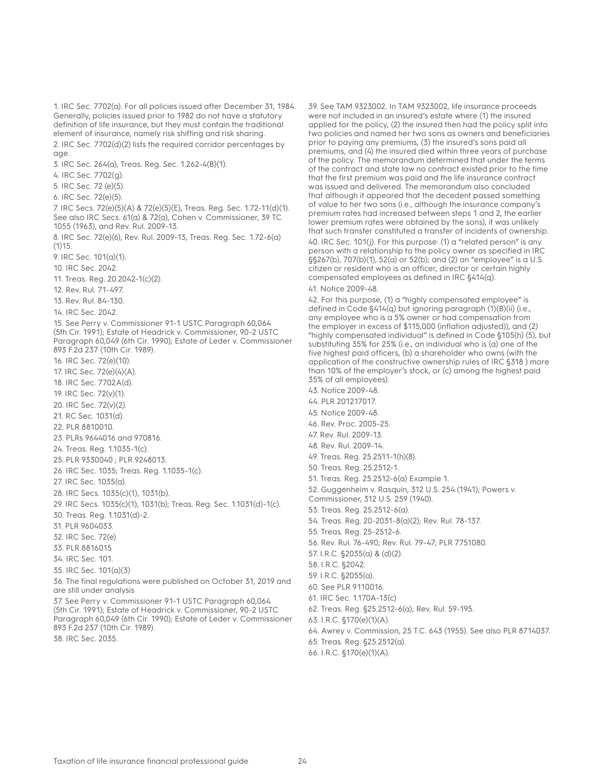1. IRC Sec. 7702(a). For all policies issued after December 31, 1984. Generally, policies issued prior to 1982 do not have a statutory definition of life insurance, but they must contain the traditional element of insurance, namely risk shifting and risk sharing. 2. IRC Sec. 7702(d)(2) lists the required corridor percentages by age. 3. IRC Sec. 264(a), Treas. Reg. Sec. 1.262-4(B)(1). 4. IRC Sec. 7702(g). 5. IRC Sec. 72 (e)(5). 6. IRC Sec. 72(e)(5). 7. IRC Secs. 72(e)(5)(A) & 72(e)(5)(E), Treas. Reg. Sec. 1.72-11(d)(1). See also IRC Secs. 61(a) & 72(a), Cohen v. Commissioner, 39 TC 1055 (1963), and Rev. Rul. 2009-13. 8. IRC Sec. 72(e)(6), Rev. Rul. 2009-13, Treas. Reg. Sec. 1.72-6(a)  $(1)15.$ 9. IRC Sec. 101(a)(1). 10. IRC Sec. 2042. 11. Treas. Reg. 20.2042-1(c)(2). 12. Rev. Rul. 71-497. 13. Rev. Rul. 84-130. 14. IRC Sec. 2042. 15. See Perry v. Commissioner 91-1 USTC Paragraph 60,064 (5th Cir. 1991); Estate of Headrick v. Commissioner, 90-2 USTC Paragraph 60,049 (6th Cir. 1990); Estate of Leder v. Commissioner 893 F.2d 237 (10th Cir. 1989). 16. IRC Sec. 72(e)(10). 17. IRC Sec. 72(e)(4)(A). 18. IRC Sec. 7702A(d). 19. IRC Sec. 72(v)(1). 20. IRC Sec. 72(v)(2). 21. RC Sec. 1031(d). 22. PLR 8810010. 23. PLRs 9644016 and 970816. 24. Treas. Reg. 1.1035-1(c). 25. PLR 9330040 ; PLR 9248013. 26. IRC Sec. 1035; Treas. Reg. 1.1035-1(c). 27. IRC Sec. 1035(a). 28. IRC Secs. 1035(c)(1), 1031(b). 29. IRC Secs. 1035(c)(1), 1031(b); Treas. Reg. Sec. 1.1031(d)-1(c). 30. Treas. Reg. 1.1031(d)-2. 31. PLR 9604033. 32. IRC Sec. 72(e) 33. PLR 8816015 34. IRC Sec. 101. 35. IRC Sec. 101(a)(3) 36. The final regulations were published on October 31, 2019 and are still under analysis 37. See Perry v. Commissioner 91-1 USTC Paragraph 60,064 (5th Cir. 1991); Estate of Headrick v. Commissioner, 90-2 USTC Paragraph 60,049 (6th Cir. 1990); Estate of Leder v. Commissioner 893 F.2d 237 (10th Cir. 1989). 38. IRC Sec. 2035.

39. See TAM 9323002. In TAM 9323002, life insurance proceeds were not included in an insured's estate where (1) the insured applied for the policy, (2) the insured then had the policy split into two policies and named her two sons as owners and beneficiaries prior to paying any premiums, (3) the insured's sons paid all premiums, and (4) the insured died within three years of purchase of the policy. The memorandum determined that under the terms of the contract and state law no contract existed prior to the time that the first premium was paid and the life insurance contract was issued and delivered. The memorandum also concluded that although it appeared that the decedent passed something of value to her two sons (i.e., although the insurance company's premium rates had increased between steps 1 and 2, the earlier lower premium rates were obtained by the sons), it was unlikely that such transfer constituted a transfer of incidents of ownership.

40. IRC Sec. 101(j). For this purpose: (1) a "related person" is any person with a relationship to the policy owner as specified in IRC §§267(b), 707(b)(1), 52(a) or 52(b); and (2) an "employee" is a U.S. citizen or resident who is an officer, director or certain highly compensated employees as defined in IRC §414(q).

#### 41. Notice 2009-48.

42. For this purpose, (1) a "highly compensated employee" is defined in Code §414(q) but ignoring paragraph (1)(B)(ii) (i.e., any employee who is a 5% owner or had compensation from the employer in excess of \$115,000 (inflation adjusted)), and (2) "highly compensated individual" is defined in Code §105(h) (5), but substituting 35% for 25% (i.e., an individual who is (a) one of the five highest paid officers, (b) a shareholder who owns (with the application of the constructive ownership rules of IRC §318 ) more than 10% of the employer's stock, or (c) among the highest paid 35% of all employees).

- 43. Notice 2009-48.
- 44. PLR 201217017.
- 45. Notice 2009-48.
- 46. Rev. Proc. 2005-25.
- 47. Rev. Rul. 2009-13.
- 48. Rev. Rul. 2009-14.
- 49. Treas. Reg. 25.2511-1(h)(8).
- 50. Treas. Reg. 25.2512-1.
- 51. Treas. Reg. 25.2512-6(a) Example 1.

52. Guggenheim v. Rasquin, 312 U.S. 254 (1941); Powers v. Commissioner, 312 U.S. 259 (1940).

53. Treas. Reg. 25.2512-6(a).

54. Treas. Reg. 20-2031-8(a)(2); Rev. Rul. 78-137.

55. Treas. Reg. 25-2512-6.

- 56. Rev. Rul. 76-490; Rev. Rul. 79-47; PLR 7751080.
- 57. I.R.C. §2035(a) & (d)(2).

58. I.R.C. §2042.

- 59. I.R.C. §2055(a).
- 60. See PLR 9110016.
- 61. IRC Sec. 1.170A-13(c)
- 62. Treas. Reg. §25.2512-6(a); Rev. Rul. 59-195.
- 63. I.R.C. §170(e)(1)(A).
- 64. Awrey v. Commission, 25 T.C. 643 (1955). See also PLR 8714037.
- 65. Treas. Reg. §25.2512(a).
- 66. I.R.C. §170(e)(1)(A).